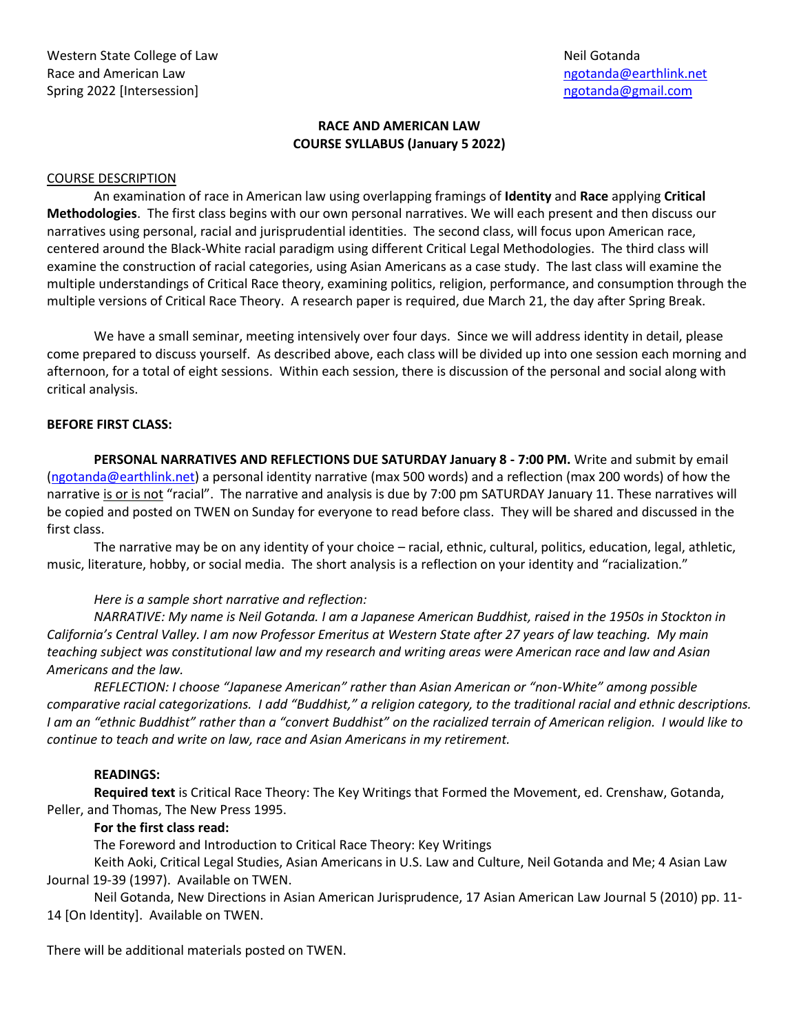### **RACE AND AMERICAN LAW COURSE SYLLABUS (January 5 2022)**

#### COURSE DESCRIPTION

An examination of race in American law using overlapping framings of **Identity** and **Race** applying **Critical Methodologies**. The first class begins with our own personal narratives. We will each present and then discuss our narratives using personal, racial and jurisprudential identities. The second class, will focus upon American race, centered around the Black-White racial paradigm using different Critical Legal Methodologies. The third class will examine the construction of racial categories, using Asian Americans as a case study. The last class will examine the multiple understandings of Critical Race theory, examining politics, religion, performance, and consumption through the multiple versions of Critical Race Theory. A research paper is required, due March 21, the day after Spring Break.

We have a small seminar, meeting intensively over four days. Since we will address identity in detail, please come prepared to discuss yourself. As described above, each class will be divided up into one session each morning and afternoon, for a total of eight sessions. Within each session, there is discussion of the personal and social along with critical analysis.

#### **BEFORE FIRST CLASS:**

**PERSONAL NARRATIVES AND REFLECTIONS DUE SATURDAY January 8 - 7:00 PM.** Write and submit by email [\(ngotanda@earthlink.net\)](mailto:ngotanda@earthlink.net) a personal identity narrative (max 500 words) and a reflection (max 200 words) of how the narrative is or is not "racial". The narrative and analysis is due by 7:00 pm SATURDAY January 11. These narratives will be copied and posted on TWEN on Sunday for everyone to read before class. They will be shared and discussed in the first class.

The narrative may be on any identity of your choice – racial, ethnic, cultural, politics, education, legal, athletic, music, literature, hobby, or social media. The short analysis is a reflection on your identity and "racialization."

#### *Here is a sample short narrative and reflection:*

*NARRATIVE: My name is Neil Gotanda. I am a Japanese American Buddhist, raised in the 1950s in Stockton in California's Central Valley. I am now Professor Emeritus at Western State after 27 years of law teaching. My main teaching subject was constitutional law and my research and writing areas were American race and law and Asian Americans and the law.* 

*REFLECTION: I choose "Japanese American" rather than Asian American or "non-White" among possible comparative racial categorizations. I add "Buddhist," a religion category, to the traditional racial and ethnic descriptions. I am an "ethnic Buddhist" rather than a "convert Buddhist" on the racialized terrain of American religion. I would like to continue to teach and write on law, race and Asian Americans in my retirement.*

# **READINGS:**

**Required text** is Critical Race Theory: The Key Writings that Formed the Movement, ed. Crenshaw, Gotanda, Peller, and Thomas, The New Press 1995.

#### **For the first class read:**

The Foreword and Introduction to Critical Race Theory: Key Writings

Keith Aoki, Critical Legal Studies, Asian Americans in U.S. Law and Culture, Neil Gotanda and Me; 4 Asian Law Journal 19-39 (1997). Available on TWEN.

Neil Gotanda, New Directions in Asian American Jurisprudence, 17 Asian American Law Journal 5 (2010) pp. 11- 14 [On Identity]. Available on TWEN.

There will be additional materials posted on TWEN.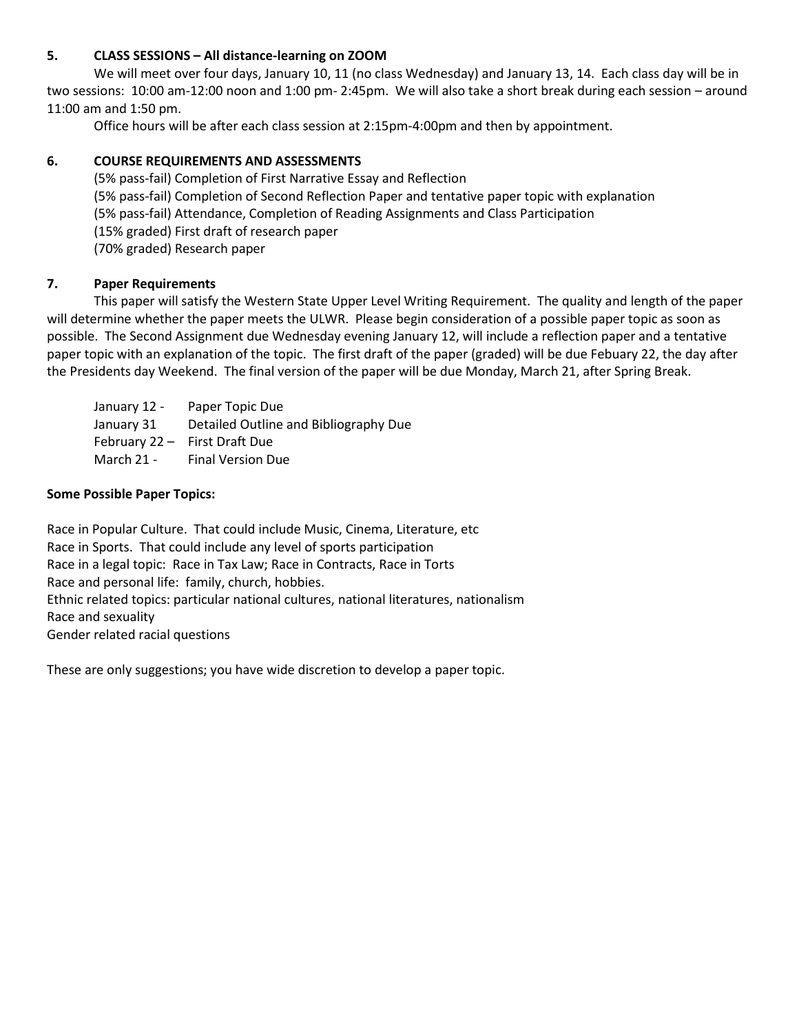## **5. CLASS SESSIONS – All distance-learning on ZOOM**

We will meet over four days, January 10, 11 (no class Wednesday) and January 13, 14. Each class day will be in two sessions: 10:00 am-12:00 noon and 1:00 pm- 2:45pm. We will also take a short break during each session – around 11:00 am and 1:50 pm.

Office hours will be after each class session at 2:15pm-4:00pm and then by appointment.

## **6. COURSE REQUIREMENTS AND ASSESSMENTS**

(5% pass-fail) Completion of First Narrative Essay and Reflection (5% pass-fail) Completion of Second Reflection Paper and tentative paper topic with explanation (5% pass-fail) Attendance, Completion of Reading Assignments and Class Participation (15% graded) First draft of research paper (70% graded) Research paper

## **7. Paper Requirements**

This paper will satisfy the Western State Upper Level Writing Requirement. The quality and length of the paper will determine whether the paper meets the ULWR. Please begin consideration of a possible paper topic as soon as possible. The Second Assignment due Wednesday evening January 12, will include a reflection paper and a tentative paper topic with an explanation of the topic. The first draft of the paper (graded) will be due Febuary 22, the day after the Presidents day Weekend. The final version of the paper will be due Monday, March 21, after Spring Break.

January 12 - Paper Topic Due January 31 Detailed Outline and Bibliography Due February 22 – First Draft Due March 21 - Final Version Due

#### **Some Possible Paper Topics:**

Race in Popular Culture. That could include Music, Cinema, Literature, etc Race in Sports. That could include any level of sports participation Race in a legal topic: Race in Tax Law; Race in Contracts, Race in Torts Race and personal life: family, church, hobbies. Ethnic related topics: particular national cultures, national literatures, nationalism Race and sexuality Gender related racial questions

These are only suggestions; you have wide discretion to develop a paper topic.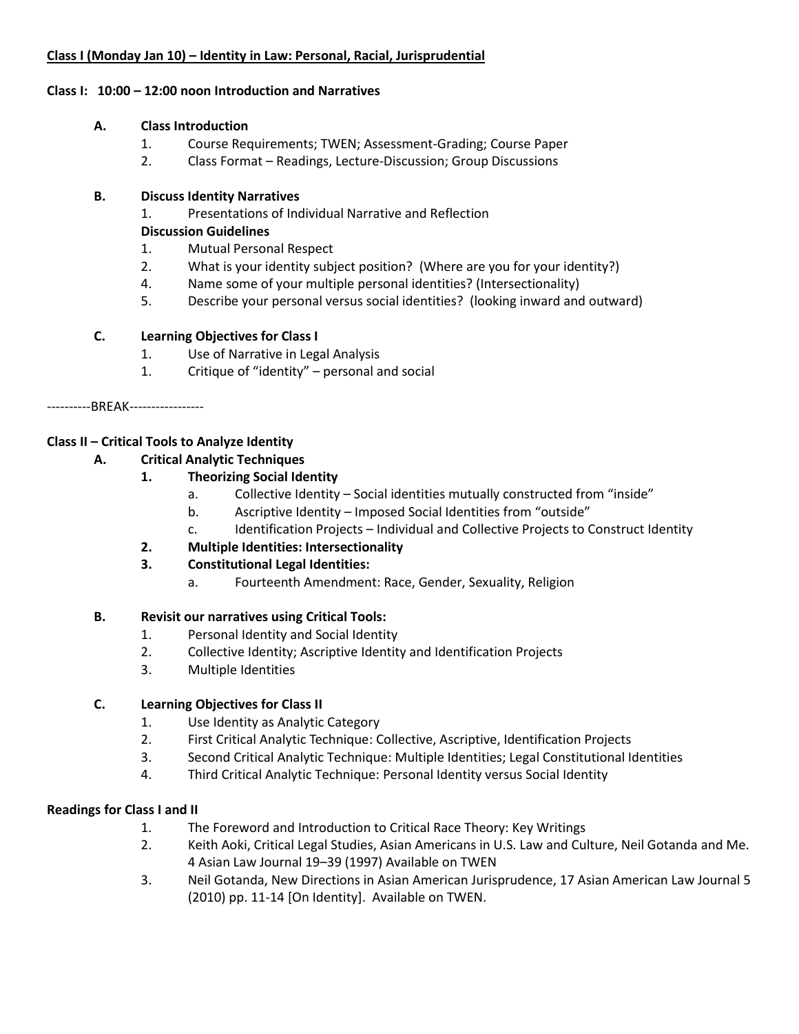## **Class I (Monday Jan 10) – Identity in Law: Personal, Racial, Jurisprudential**

#### **Class I: 10:00 – 12:00 noon Introduction and Narratives**

### **A. Class Introduction**

- 1. Course Requirements; TWEN; Assessment-Grading; Course Paper
- 2. Class Format Readings, Lecture-Discussion; Group Discussions

## **B. Discuss Identity Narratives**

1. Presentations of Individual Narrative and Reflection

### **Discussion Guidelines**

- 1. Mutual Personal Respect
- 2. What is your identity subject position? (Where are you for your identity?)
- 4. Name some of your multiple personal identities? (Intersectionality)
- 5. Describe your personal versus social identities? (looking inward and outward)

## **C. Learning Objectives for Class I**

- 1. Use of Narrative in Legal Analysis
- 1. Critique of "identity" personal and social

----------BREAK-----------------

# **Class II – Critical Tools to Analyze Identity**

## **A. Critical Analytic Techniques**

# **1. Theorizing Social Identity**

- a. Collective Identity Social identities mutually constructed from "inside"
- b. Ascriptive Identity Imposed Social Identities from "outside"
- c. Identification Projects Individual and Collective Projects to Construct Identity

# **2. Multiple Identities: Intersectionality**

- **3. Constitutional Legal Identities:**
	- a. Fourteenth Amendment: Race, Gender, Sexuality, Religion

#### **B. Revisit our narratives using Critical Tools:**

- 1. Personal Identity and Social Identity
- 2. Collective Identity; Ascriptive Identity and Identification Projects
- 3. Multiple Identities

# **C. Learning Objectives for Class II**

- 1. Use Identity as Analytic Category
- 2. First Critical Analytic Technique: Collective, Ascriptive, Identification Projects
- 3. Second Critical Analytic Technique: Multiple Identities; Legal Constitutional Identities
- 4. Third Critical Analytic Technique: Personal Identity versus Social Identity

#### **Readings for Class I and II**

- 1. The Foreword and Introduction to Critical Race Theory: Key Writings
- 2. Keith Aoki, Critical Legal Studies, Asian Americans in U.S. Law and Culture, Neil Gotanda and Me. 4 Asian Law Journal 19–39 (1997) Available on TWEN
- 3. Neil Gotanda, New Directions in Asian American Jurisprudence, 17 Asian American Law Journal 5 (2010) pp. 11-14 [On Identity]. Available on TWEN.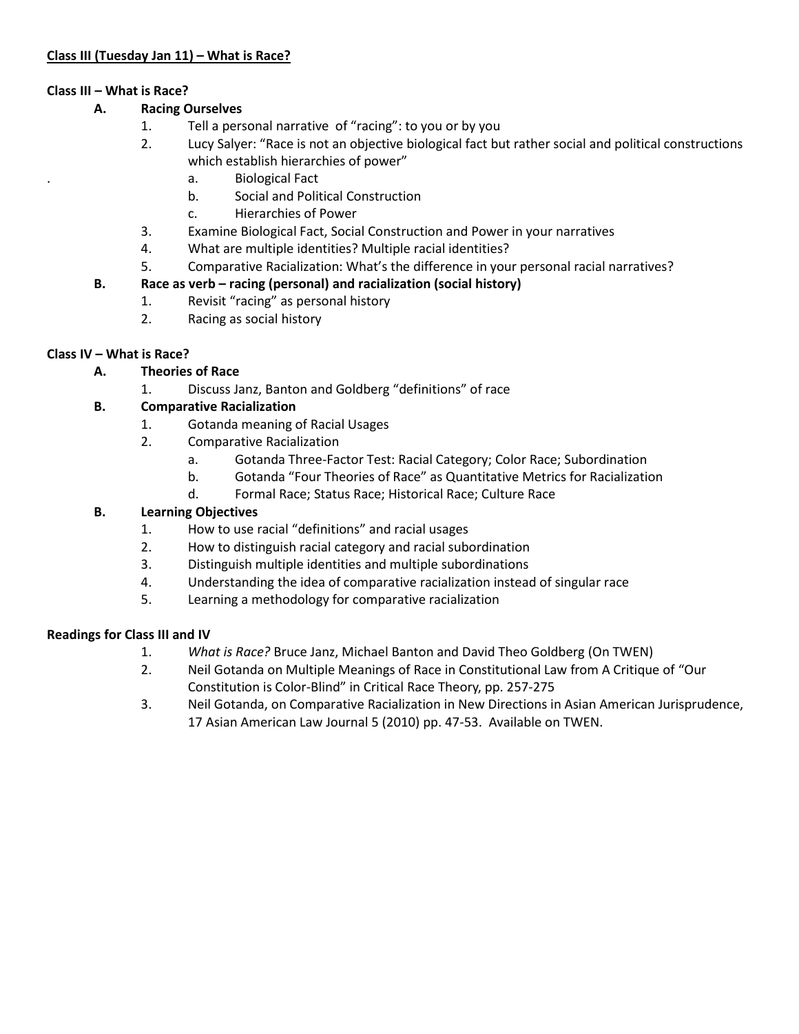# **Class III – What is Race?**

# **A. Racing Ourselves**

- 1. Tell a personal narrative of "racing": to you or by you
- 2. Lucy Salyer: "Race is not an objective biological fact but rather social and political constructions which establish hierarchies of power"
	- . a. Biological Fact
	- b. Social and Political Construction
	- c. Hierarchies of Power
- 3. Examine Biological Fact, Social Construction and Power in your narratives
- 4. What are multiple identities? Multiple racial identities?
- 5. Comparative Racialization: What's the difference in your personal racial narratives?

# **B. Race as verb – racing (personal) and racialization (social history)**

- 1. Revisit "racing" as personal history
- 2. Racing as social history

# **Class IV – What is Race?**

# **A. Theories of Race**

1. Discuss Janz, Banton and Goldberg "definitions" of race

# **B. Comparative Racialization**

- 1. Gotanda meaning of Racial Usages
- 2. Comparative Racialization
	- a. Gotanda Three-Factor Test: Racial Category; Color Race; Subordination
	- b. Gotanda "Four Theories of Race" as Quantitative Metrics for Racialization
	- d. Formal Race; Status Race; Historical Race; Culture Race

# **B. Learning Objectives**

- 1. How to use racial "definitions" and racial usages
- 2. How to distinguish racial category and racial subordination
- 3. Distinguish multiple identities and multiple subordinations
- 4. Understanding the idea of comparative racialization instead of singular race
- 5. Learning a methodology for comparative racialization

# **Readings for Class III and IV**

- 1. *What is Race?* Bruce Janz, Michael Banton and David Theo Goldberg (On TWEN)
- 2. Neil Gotanda on Multiple Meanings of Race in Constitutional Law from A Critique of "Our Constitution is Color-Blind" in Critical Race Theory, pp. 257-275
- 3. Neil Gotanda, on Comparative Racialization in New Directions in Asian American Jurisprudence, 17 Asian American Law Journal 5 (2010) pp. 47-53. Available on TWEN.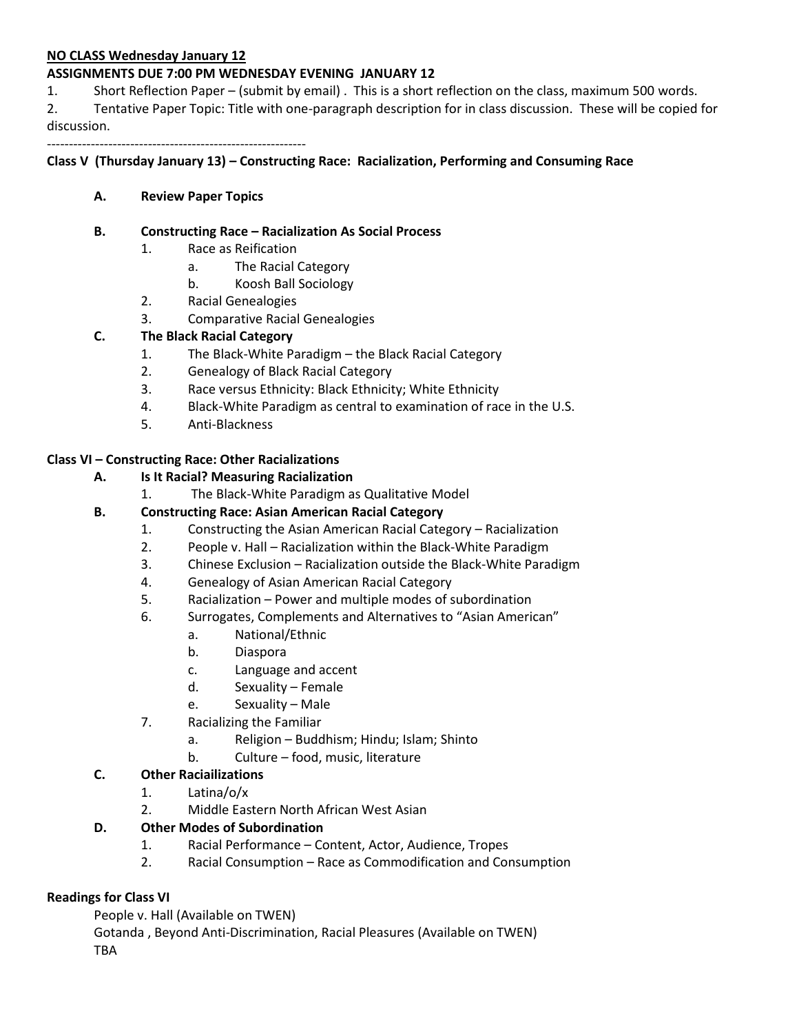#### **NO CLASS Wednesday January 12**

#### **ASSIGNMENTS DUE 7:00 PM WEDNESDAY EVENING JANUARY 12**

1. Short Reflection Paper – (submit by email) . This is a short reflection on the class, maximum 500 words.

2. Tentative Paper Topic: Title with one-paragraph description for in class discussion. These will be copied for discussion.

-----------------------------------------------------------

#### **Class V (Thursday January 13) – Constructing Race: Racialization, Performing and Consuming Race**

#### **A. Review Paper Topics**

#### **B. Constructing Race – Racialization As Social Process**

- 1. Race as Reification
	- a. The Racial Category
	- b. Koosh Ball Sociology
- 2. Racial Genealogies
- 3. Comparative Racial Genealogies

#### **C. The Black Racial Category**

- 1. The Black-White Paradigm the Black Racial Category
- 2. Genealogy of Black Racial Category
- 3. Race versus Ethnicity: Black Ethnicity; White Ethnicity
- 4. Black-White Paradigm as central to examination of race in the U.S.
- 5. Anti-Blackness

#### **Class VI – Constructing Race: Other Racializations**

#### **A. Is It Racial? Measuring Racialization**

1. The Black-White Paradigm as Qualitative Model

#### **B. Constructing Race: Asian American Racial Category**

- 1. Constructing the Asian American Racial Category Racialization
- 2. People v. Hall Racialization within the Black-White Paradigm
- 3. Chinese Exclusion Racialization outside the Black-White Paradigm
- 4. Genealogy of Asian American Racial Category
- 5. Racialization Power and multiple modes of subordination
- 6. Surrogates, Complements and Alternatives to "Asian American"
	- a. National/Ethnic
	- b. Diaspora
	- c. Language and accent
	- d. Sexuality Female
	- e. Sexuality Male
- 7. Racializing the Familiar
	- a. Religion Buddhism; Hindu; Islam; Shinto
	- b. Culture food, music, literature
- **C. Other Raciailizations**
	- 1. Latina/o/x
	- 2. Middle Eastern North African West Asian

#### **D. Other Modes of Subordination**

- 1. Racial Performance Content, Actor, Audience, Tropes
- 2. Racial Consumption Race as Commodification and Consumption

#### **Readings for Class VI**

People v. Hall (Available on TWEN)

Gotanda , Beyond Anti-Discrimination, Racial Pleasures (Available on TWEN) TBA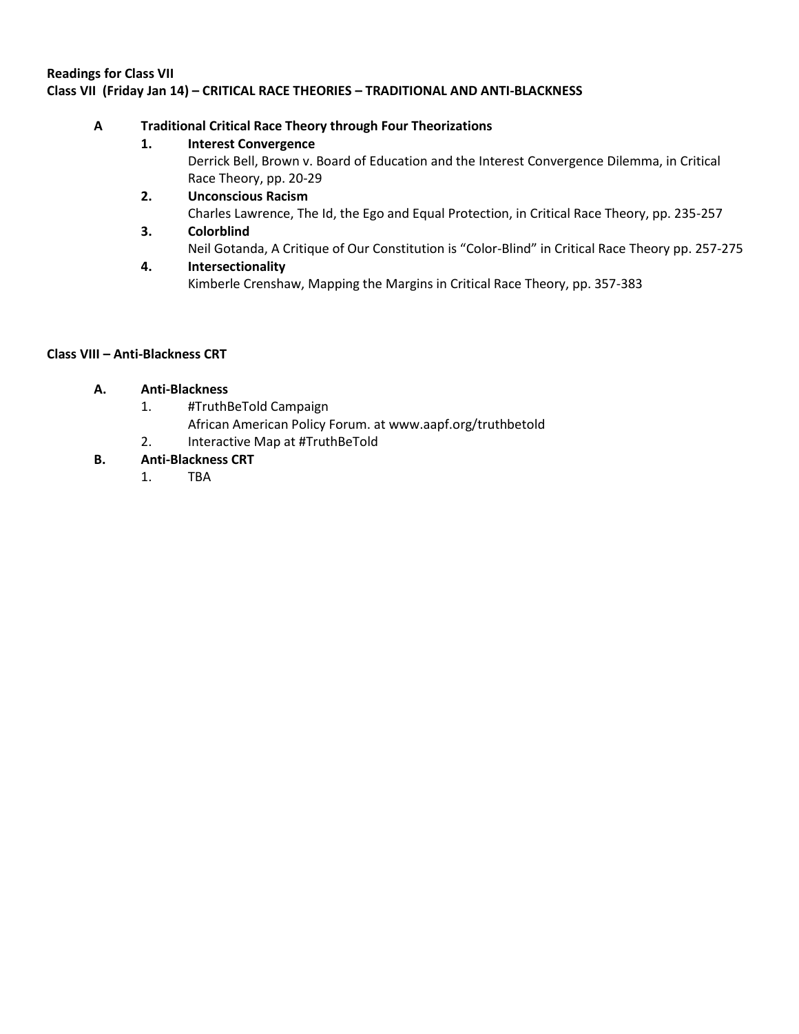# **Readings for Class VII Class VII (Friday Jan 14) – CRITICAL RACE THEORIES – TRADITIONAL AND ANTI-BLACKNESS**

# **A Traditional Critical Race Theory through Four Theorizations**

# **1. Interest Convergence**

Derrick Bell, Brown v. Board of Education and the Interest Convergence Dilemma, in Critical Race Theory, pp. 20-29

- **2. Unconscious Racism**  Charles Lawrence, The Id, the Ego and Equal Protection, in Critical Race Theory, pp. 235-257
- **3. Colorblind** Neil Gotanda, A Critique of Our Constitution is "Color-Blind" in Critical Race Theory pp. 257-275
- **4. Intersectionality** Kimberle Crenshaw, Mapping the Margins in Critical Race Theory, pp. 357-383

# **Class VIII – Anti-Blackness CRT**

# **A. Anti-Blackness**

- 1. #TruthBeTold Campaign
	- African American Policy Forum. at www.aapf.org/truthbetold
- 2. Interactive Map at #TruthBeTold

# **B. Anti-Blackness CRT**

1. TBA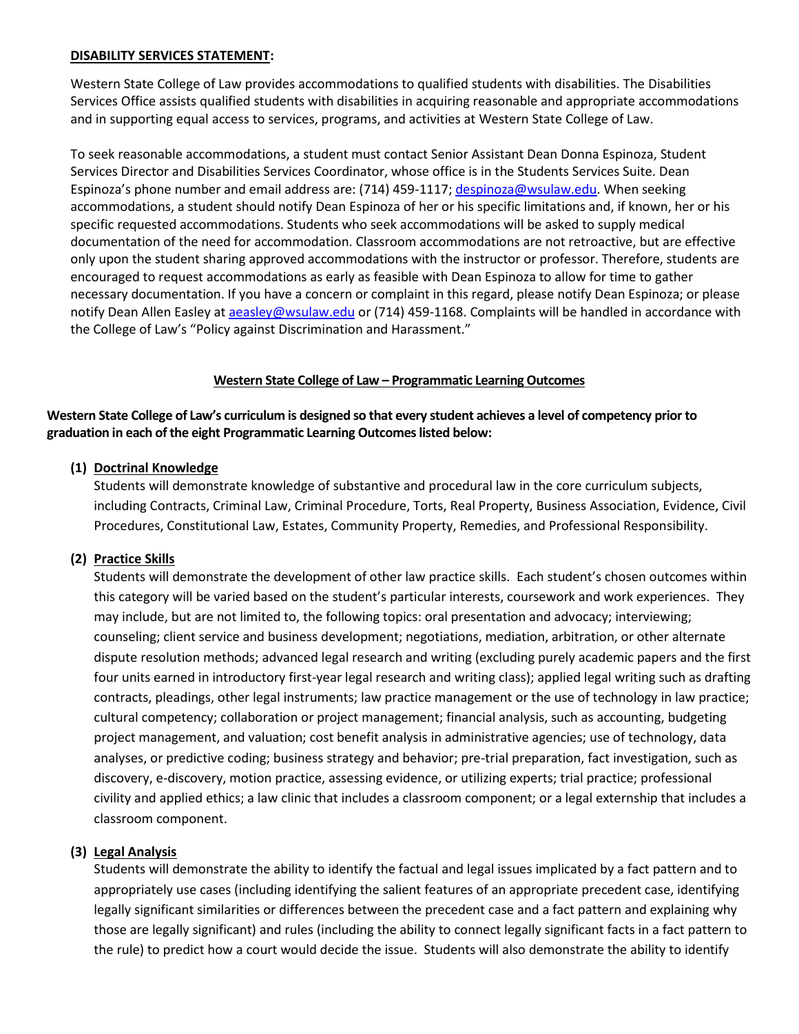#### **DISABILITY SERVICES STATEMENT:**

Western State College of Law provides accommodations to qualified students with disabilities. The Disabilities Services Office assists qualified students with disabilities in acquiring reasonable and appropriate accommodations and in supporting equal access to services, programs, and activities at Western State College of Law.

To seek reasonable accommodations, a student must contact Senior Assistant Dean Donna Espinoza, Student Services Director and Disabilities Services Coordinator, whose office is in the Students Services Suite. Dean Espinoza's phone number and email address are: (714) 459-1117; [despinoza@wsulaw.edu.](mailto:despinoza@wsulaw.edu) When seeking accommodations, a student should notify Dean Espinoza of her or his specific limitations and, if known, her or his specific requested accommodations. Students who seek accommodations will be asked to supply medical documentation of the need for accommodation. Classroom accommodations are not retroactive, but are effective only upon the student sharing approved accommodations with the instructor or professor. Therefore, students are encouraged to request accommodations as early as feasible with Dean Espinoza to allow for time to gather necessary documentation. If you have a concern or complaint in this regard, please notify Dean Espinoza; or please notify Dean Allen Easley a[t aeasley@wsulaw.edu](mailto:aeasley@wsulaw.edu) or (714) 459-1168. Complaints will be handled in accordance with the College of Law's "Policy against Discrimination and Harassment."

#### **Western State College of Law – Programmatic Learning Outcomes**

**Western State College of Law's curriculum is designed so that every student achieves a level of competency prior to graduation in each of the eight Programmatic Learning Outcomes listed below:**

## **(1) Doctrinal Knowledge**

Students will demonstrate knowledge of substantive and procedural law in the core curriculum subjects, including Contracts, Criminal Law, Criminal Procedure, Torts, Real Property, Business Association, Evidence, Civil Procedures, Constitutional Law, Estates, Community Property, Remedies, and Professional Responsibility.

#### **(2) Practice Skills**

Students will demonstrate the development of other law practice skills. Each student's chosen outcomes within this category will be varied based on the student's particular interests, coursework and work experiences. They may include, but are not limited to, the following topics: oral presentation and advocacy; interviewing; counseling; client service and business development; negotiations, mediation, arbitration, or other alternate dispute resolution methods; advanced legal research and writing (excluding purely academic papers and the first four units earned in introductory first-year legal research and writing class); applied legal writing such as drafting contracts, pleadings, other legal instruments; law practice management or the use of technology in law practice; cultural competency; collaboration or project management; financial analysis, such as accounting, budgeting project management, and valuation; cost benefit analysis in administrative agencies; use of technology, data analyses, or predictive coding; business strategy and behavior; pre-trial preparation, fact investigation, such as discovery, e-discovery, motion practice, assessing evidence, or utilizing experts; trial practice; professional civility and applied ethics; a law clinic that includes a classroom component; or a legal externship that includes a classroom component.

#### **(3) Legal Analysis**

Students will demonstrate the ability to identify the factual and legal issues implicated by a fact pattern and to appropriately use cases (including identifying the salient features of an appropriate precedent case, identifying legally significant similarities or differences between the precedent case and a fact pattern and explaining why those are legally significant) and rules (including the ability to connect legally significant facts in a fact pattern to the rule) to predict how a court would decide the issue. Students will also demonstrate the ability to identify